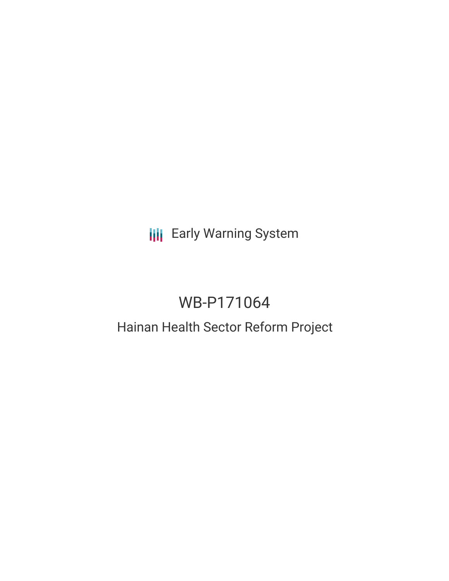# **III** Early Warning System

# WB-P171064

## Hainan Health Sector Reform Project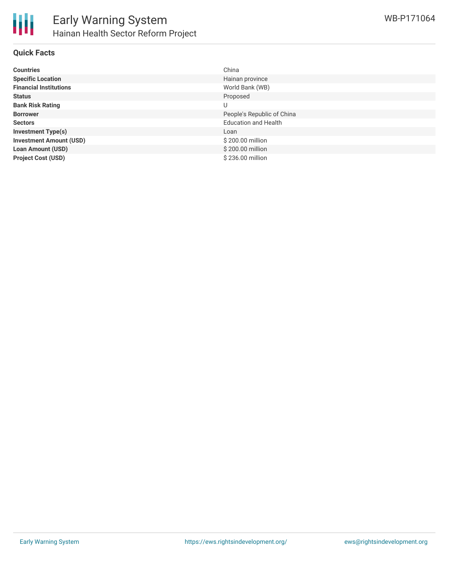

### **Quick Facts**

| <b>Countries</b>               | China                       |
|--------------------------------|-----------------------------|
| <b>Specific Location</b>       | Hainan province             |
| <b>Financial Institutions</b>  | World Bank (WB)             |
| <b>Status</b>                  | Proposed                    |
| <b>Bank Risk Rating</b>        | U                           |
| <b>Borrower</b>                | People's Republic of China  |
| <b>Sectors</b>                 | <b>Education and Health</b> |
| <b>Investment Type(s)</b>      | Loan                        |
| <b>Investment Amount (USD)</b> | \$200.00 million            |
| <b>Loan Amount (USD)</b>       | \$200.00 million            |
| <b>Project Cost (USD)</b>      | \$236.00 million            |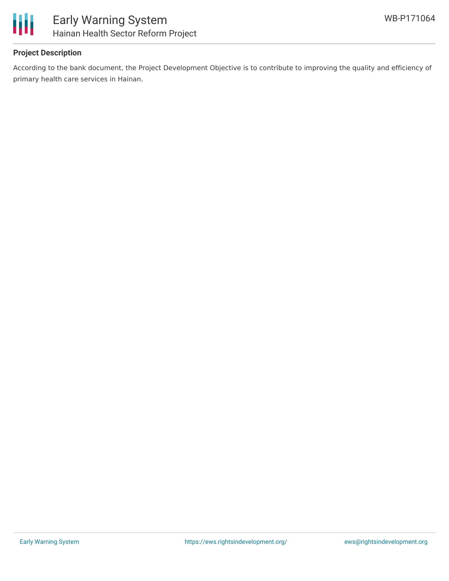

### **Project Description**

According to the bank document, the Project Development Objective is to contribute to improving the quality and efficiency of primary health care services in Hainan.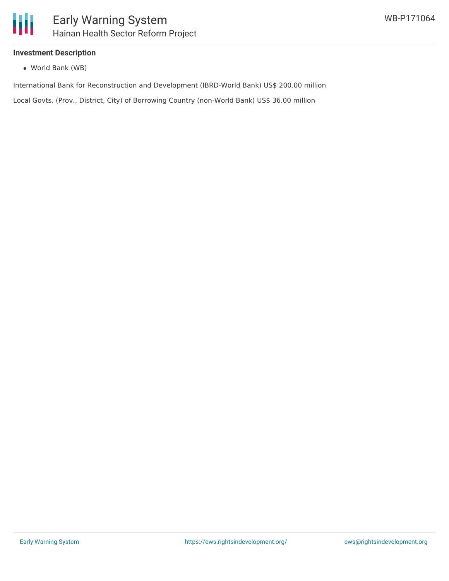

#### **Investment Description**

World Bank (WB)

International Bank for Reconstruction and Development (IBRD-World Bank) US\$ 200.00 million

Local Govts. (Prov., District, City) of Borrowing Country (non-World Bank) US\$ 36.00 million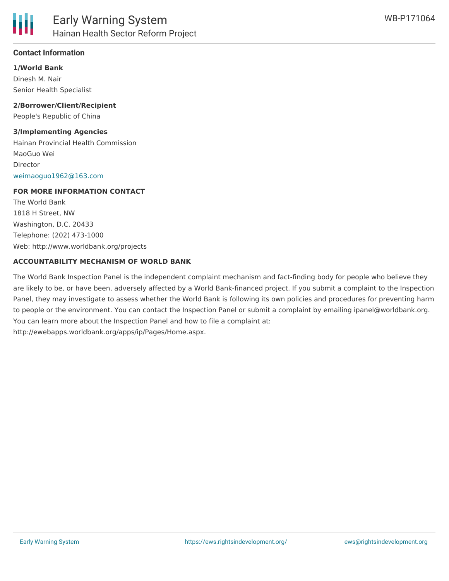

#### **Contact Information**

**1/World Bank** Dinesh M. Nair Senior Health Specialist

**2/Borrower/Client/Recipient** People's Republic of China

#### **3/Implementing Agencies**

Hainan Provincial Health Commission MaoGuo Wei Director [weimaoguo1962@163.com](mailto:weimaoguo1962@163.com)

#### **FOR MORE INFORMATION CONTACT**

The World Bank 1818 H Street, NW Washington, D.C. 20433 Telephone: (202) 473-1000 Web: http://www.worldbank.org/projects

#### **ACCOUNTABILITY MECHANISM OF WORLD BANK**

The World Bank Inspection Panel is the independent complaint mechanism and fact-finding body for people who believe they are likely to be, or have been, adversely affected by a World Bank-financed project. If you submit a complaint to the Inspection Panel, they may investigate to assess whether the World Bank is following its own policies and procedures for preventing harm to people or the environment. You can contact the Inspection Panel or submit a complaint by emailing ipanel@worldbank.org. You can learn more about the Inspection Panel and how to file a complaint at: http://ewebapps.worldbank.org/apps/ip/Pages/Home.aspx.